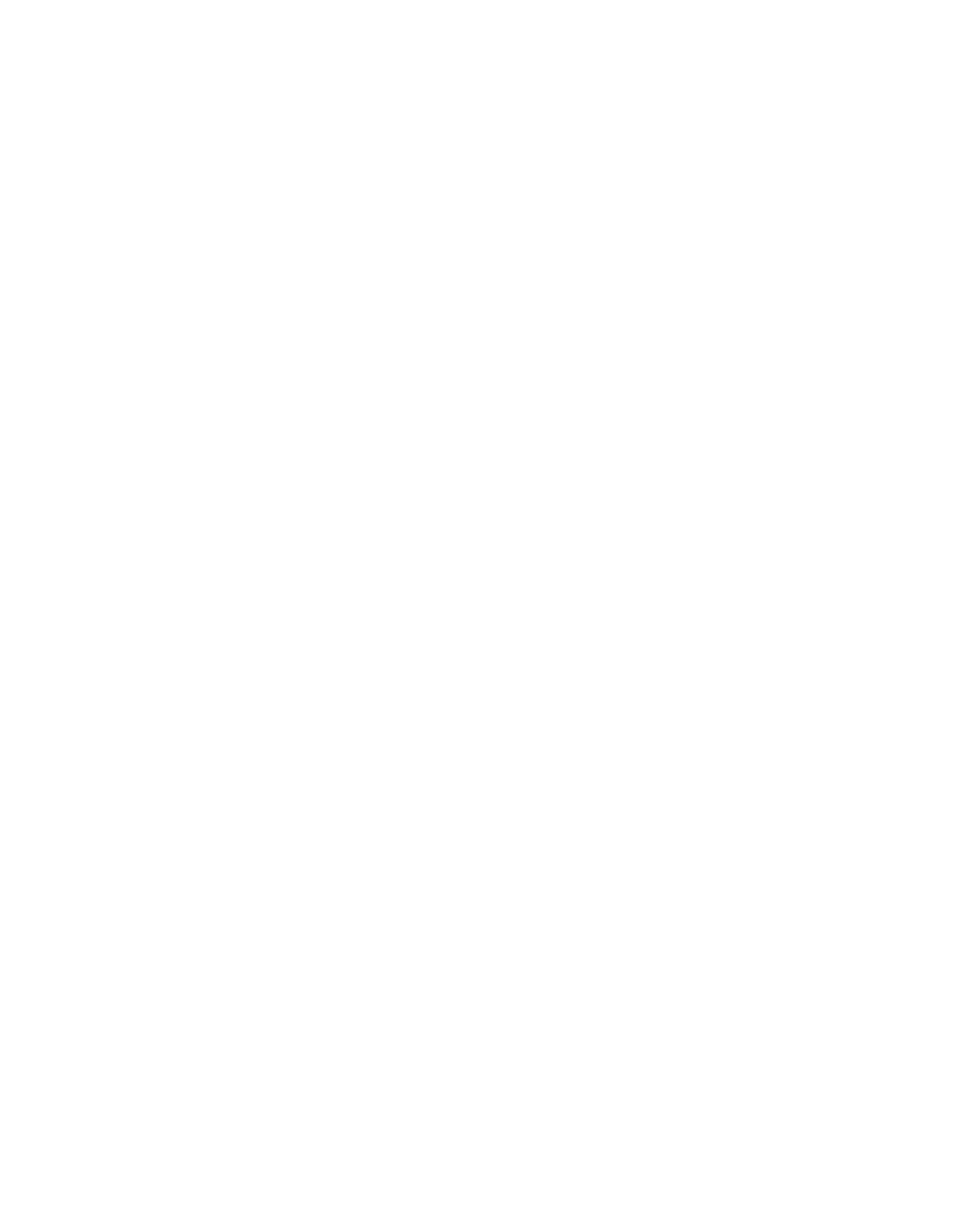

# **AZV99**

# **PECL/LVDS Oscillator Gain Stage & Buffer with Selectable Enable**

# **FEATURES**

- Green and RoHS Compliant / Lead (Pb) Free Packages Available
- Similar Operation as AZ100LVEL16VT except with **LVDS Outputs**
- Operating Range of 3.0V to 5.5V
- Minimizes External Components
- Selectable Enable Polarity and Threshold (CMOS/TTL or PECL)
- Available in a 2x2 or 3x3mm MLP Package
- S–Parameter (.s2p) and IBIS Model Files Available on Arizona Microtek Website

| <b>PACKAGE</b>                                                    | <b>PART NUMBER</b> | <b>MARKING</b>                              | <b>NOTES</b>   |
|-------------------------------------------------------------------|--------------------|---------------------------------------------|----------------|
| MLP 8 (2x2x0.75)<br>Green / RoHS<br>Compliant / Lead (Pb)<br>Free | AZV99NG            | V <sub>1</sub> G<br>$\leq$ Date Code $\geq$ | 1,2            |
| MLP 8 (2x2x0.75)                                                  | AZV99NA            | V <sub>9</sub><br><date code=""></date>     | 1,2            |
| MLP 8 (2x2x0.75)<br>Green / RoHS<br>Compliant / Lead (Pb)<br>Free | AZV99NBG           | V8G<br>$\leq$ Date Code $\geq$              | 1,2            |
| MLP 8 (2x2x0.75)<br>Green / RoHS<br>Compliant / Lead (Pb)<br>Free | AZV99NDG           | V2G<br>$\leq$ Date Code $\geq$              | 1,2            |
| MLP 16 (3x3) Green /<br>RoHS Compliant /<br>Lead (Pb) Free        | AZV99LG            | <b>AZMG</b><br>V99<br><date code=""></date> | 1,2            |
| TSSOP 8 RoHS<br>Compliant / Lead (Pb)<br>Free                     | $AZV99T+$          | $AZ+$<br>V99                                | 1,2,3          |
| DIE                                                               | AZV99XP            | N/A                                         | $\overline{4}$ |

#### **PACKAGE AVAILABILITY**

1 Add R1 at end of part number for 7 inch (1K parts), R2 for 13 inch (2.5K parts) Tape & Reel.

2 Date code format: "Y" for year followed by "WW" for week.

3 Date Code "YWW" on underside of part.

4 Waffle Pack

# **DESCRIPTION**

The AZV99 is a specialized oscillator gain stage with LVDS output buffer including an enable. The enable input (EN) allows continuous oscillator operation by only controlling the  $Q_{HG}$  / $\overline{Q}_{HG}$  outputs.

The AZV99 also provides a V<sub>BB</sub> and 470 $\Omega$  internal bias resistors from D to V<sub>BB</sub> and  $\bar{D}$  to V<sub>BB</sub>. The V<sub>BB</sub> pin can support 1.5 mA sink/source current. Bypassing  $V_{BB}$  to ground with a 0.01  $\mu$ F capacitor is recommended.

#### **MLP 16, 3x3 mm Package (L) or DIE (X)**

The MLP 16 and die versions of the AZV99 provide a selectable enable (EN). Enable polarity and threshold can be selected to accommodate either CMOS/TTL or PECL input levels. See the enable truth table for enable function. If enable pull-up is desired in the CMOS/TTL mode, an external  $\leq$ 20kΩ resistor connecting EN to V<sub>CC</sub> will override the on-chip pull-down resistor.

Outputs  $Q/\overline{Q}$  each have a selectable on-chip pull-down current source. See the current source truth table for current source functions. External resistors may also be used to increase pull-down current to a maximum of 25mA (includes internal on-chip current source).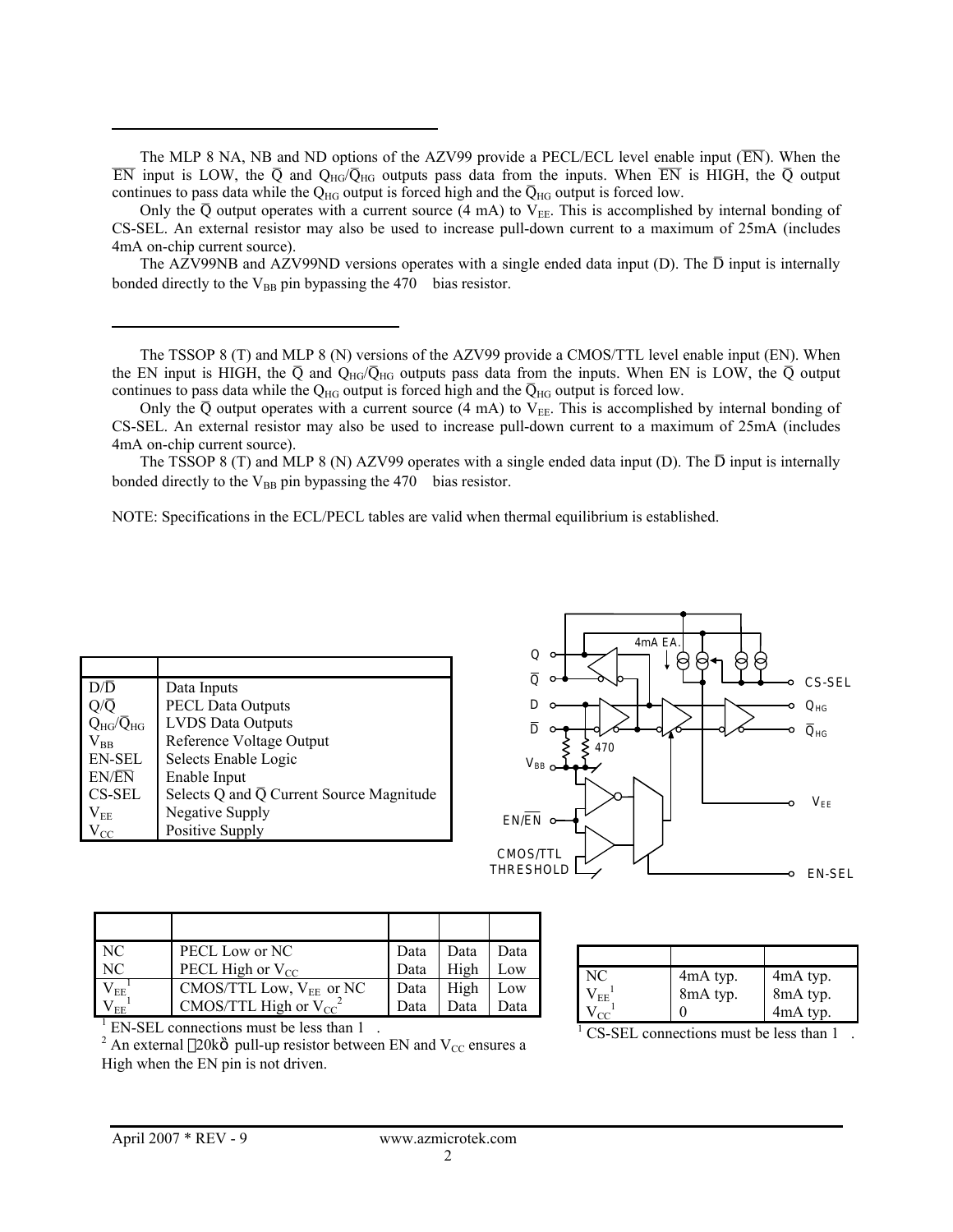#### **MLP 8, 2x2 mm Package, NA, NB & ND Options**

The MLP 8 NA, NB and ND options of the AZV99 provide a PECL/ECL level enable input  $(EN)$ . When the  $\overline{EN}$  input is LOW, the  $\overline{Q}$  and  $Q_{HG}/\overline{Q}_{HG}$  outputs pass data from the inputs. When  $\overline{EN}$  is HIGH, the  $\overline{Q}$  output continues to pass data while the  $Q_{HG}$  output is forced high and the  $\overline{Q}_{HG}$  output is forced low.

Only the  $\overline{Q}$  output operates with a current source (4 mA) to V<sub>EE</sub>. This is accomplished by internal bonding of CS-SEL. An external resistor may also be used to increase pull-down current to a maximum of 25mA (includes 4mA on-chip current source).

The AZV99NB and AZV99ND versions operates with a single ended data input (D). The  $\overline{D}$  input is internally bonded directly to the  $V_{BB}$  pin bypassing the 470 $\Omega$  bias resistor.

#### **TSSOP 8 Package (T), MLP 8 Package, (N)**

The TSSOP 8 (T) and MLP 8 (N) versions of the AZV99 provide a CMOS/TTL level enable input (EN). When the EN input is HIGH, the  $\overline{Q}$  and  $Q_{HG}/\overline{Q}_{HG}$  outputs pass data from the inputs. When EN is LOW, the  $\overline{Q}$  output continues to pass data while the  $Q_{HG}$  output is forced high and the  $\overline{Q}_{HG}$  output is forced low.

Only the  $\overline{Q}$  output operates with a current source (4 mA) to V<sub>EE</sub>. This is accomplished by internal bonding of CS-SEL. An external resistor may also be used to increase pull-down current to a maximum of 25mA (includes 4mA on-chip current source).

The TSSOP 8 (T) and MLP 8 (N) AZV99 operates with a single ended data input (D). The  $\overline{D}$  input is internally bonded directly to the  $V_{BB}$  pin bypassing the 470 $\Omega$  bias resistor.

NOTE: Specifications in the ECL/PECL tables are valid when thermal equilibrium is established.

| PIN                        | <b>FUNCTION</b>                          |
|----------------------------|------------------------------------------|
| D/D                        | Data Inputs                              |
|                            | <b>PECL Data Outputs</b>                 |
| $Q_{HG}/\overline{Q}_{HG}$ | <b>LVDS</b> Data Outputs                 |
| ${\rm V}_{\rm BB}$         | Reference Voltage Output                 |
| <b>EN-SEL</b>              | Selects Enable Logic                     |
| EN/EN                      | Enable Input                             |
| $CS-SEL$                   | Selects Q and Q Current Source Magnitude |
| $V_{\rm EE}$               | <b>Negative Supply</b>                   |
| $\frac{1}{C}$              | Positive Supply                          |

#### **PIN DESCRIPTION**

#### **ENABLE TRUTH TABLE**

| <b>EN-SEL</b>  | <b>EN/EN</b>                       |      | $Q_{HG}$ | $\mathbf{Q}_{\mathrm{HG}}$ |
|----------------|------------------------------------|------|----------|----------------------------|
| N <sub>C</sub> | PECL Low or NC                     | Data | Data     | Data                       |
|                | PECL High or $V_{CC}$              | Data | High     | Low                        |
| $V_{EE}^{-1}$  | CMOS/TTL Low, $V_{EE}$ or NC       | Data | High     | Low                        |
| $V_{EE}$       | CMOS/TTL High or $V_{CC}^2$        | Data | Data     | Data                       |
|                | connections must be loss than $10$ |      |          |                            |

EN-SEL connections must be less than  $1\Omega$ .

<sup>2</sup> An external ≤20kΩ pull-up resistor between EN and V<sub>CC</sub> ensures a High when the EN pin is not driven.



#### **CURRENT SOURCE TRUTH TABLE**

| <b>CS-SEL</b> |                                                                |            |
|---------------|----------------------------------------------------------------|------------|
| NC            | 4mA typ.                                                       | 4mA typ.   |
| $V_{EE}^{-1}$ | 8mA typ.                                                       | 8mA typ.   |
|               |                                                                | $4mA$ typ. |
|               | <sup>1</sup> CS-SEL connections must be less than 1 $\Omega$ . |            |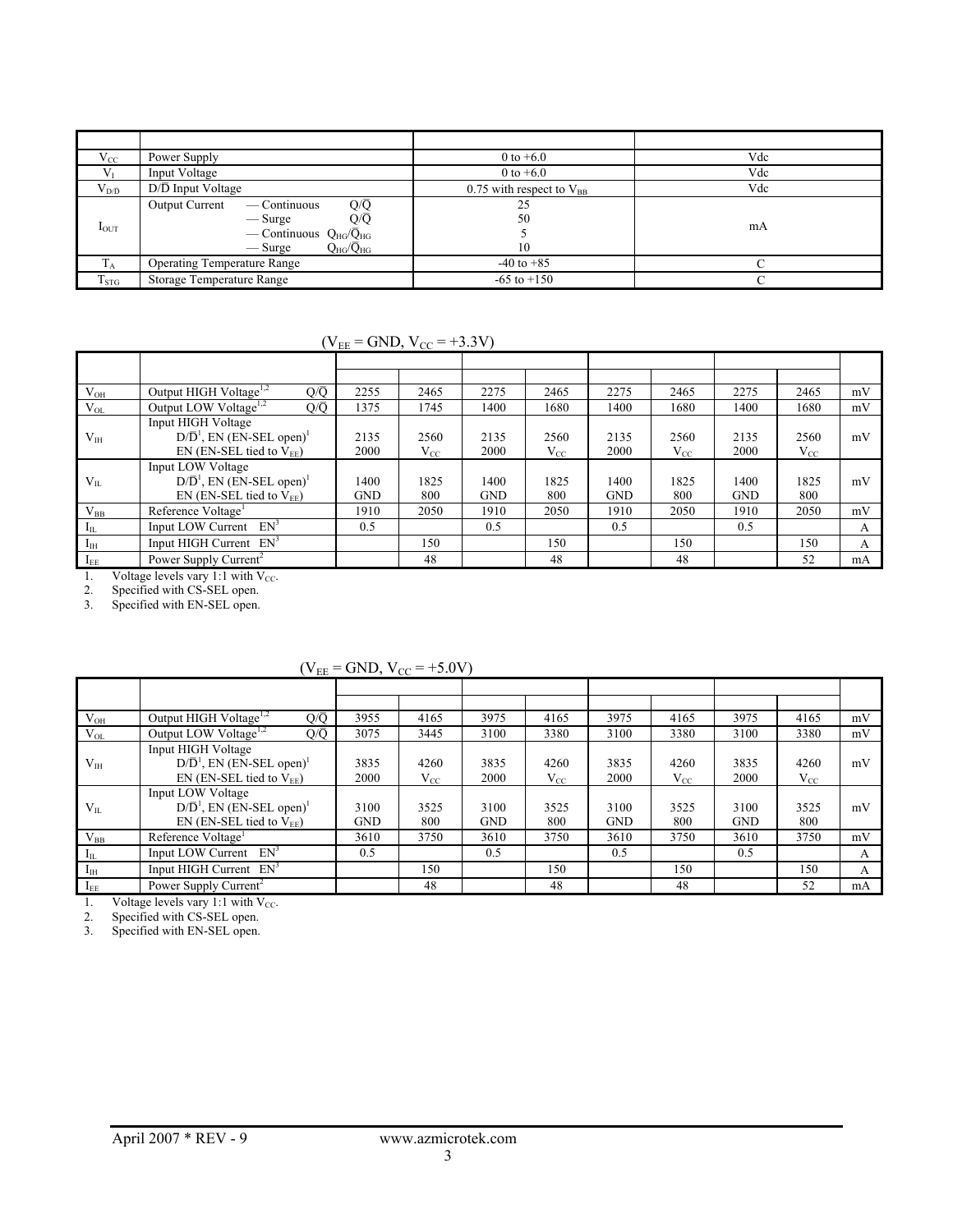| <b>Symbol</b>    | Characteristic                                                                                                                                       | Rating                              | Unit    |
|------------------|------------------------------------------------------------------------------------------------------------------------------------------------------|-------------------------------------|---------|
| $V_{CC}$         | Power Supply                                                                                                                                         | 0 to $+6.0$                         | Vdc     |
| $V_{1}$          | Input Voltage                                                                                                                                        | 0 to $+6.0$                         | Vdc     |
| $V_{D/D}$        | $D/\overline{D}$ Input Voltage                                                                                                                       | $\pm 0.75$ with respect to $V_{BB}$ | Vdc     |
| $I_{\text{OUT}}$ | <b>Output Current</b><br>Q/Q<br>$-$ Continuous<br>Q/Q<br>— Surge<br>— Continuous $Q_{HG}/\overline{Q}_{HG}$<br>$Q_{HG}/\overline{Q}_{HG}$<br>— Surge | 25<br>50<br>10                      | mA      |
| $T_A$            | <b>Operating Temperature Range</b>                                                                                                                   | $-40$ to $+85$                      | $\circ$ |
| $T_{\rm STG}$    | Storage Temperature Range                                                                                                                            | $-65$ to $+150$                     | $\circ$ |

**Absolute Maximum Ratings are those values beyond which device life may be impaired.**

### **100K LVPECL DC Characteristics**  $(V_{EE} = GND, V_{CC} = +3.3V)$

| <b>Symbol</b><br><b>Characteristic</b> |                                                                                                           |                    | $-40^{\circ}$ C  | $0^{\circ}C$       |                  | $25^{\circ}$ C     |                  | $85^{\circ}$ C     |                  | Unit |
|----------------------------------------|-----------------------------------------------------------------------------------------------------------|--------------------|------------------|--------------------|------------------|--------------------|------------------|--------------------|------------------|------|
|                                        |                                                                                                           | Min                | <b>Max</b>       | Min                | <b>Max</b>       | Min                | Max              | Min                | <b>Max</b>       |      |
| $V_{OH}$                               | $\overline{Q/Q}$<br>Output HIGH Voltage <sup>1,2</sup>                                                    | 2255               | 2465             | 2275               | 2465             | 2275               | 2465             | 2275               | 2465             | mV   |
| $V_{OL}$                               | Output LOW Voltage <sup>1,2</sup><br>Q/Q                                                                  | 1375               | 1745             | 1400               | 1680             | 1400               | 1680             | 1400               | 1680             | mV   |
| V <sub>IH</sub>                        | Input HIGH Voltage<br>$D/\overline{D}^1$ , EN (EN-SEL open) <sup>1</sup><br>EN (EN-SEL tied to $V_{EF}$ ) | 2135<br>2000       | 2560<br>$V_{CC}$ | 2135<br>2000       | 2560<br>$V_{CC}$ | 2135<br>2000       | 2560<br>$V_{CC}$ | 2135<br>2000       | 2560<br>$V_{CC}$ | mV   |
| $V_{IL}$                               | Input LOW Voltage<br>$D/\overline{D}^1$ , EN (EN-SEL open) <sup>1</sup><br>EN (EN-SEL tied to $V_{EF}$ )  | 1400<br><b>GND</b> | 1825<br>800      | 1400<br><b>GND</b> | 1825<br>800      | 1400<br><b>GND</b> | 1825<br>800      | 1400<br><b>GND</b> | 1825<br>800      | mV   |
| $V_{BB}$                               | Reference Voltage <sup>1</sup>                                                                            | 1910               | 2050             | 1910               | 2050             | 1910               | 2050             | 1910               | 2050             | mV   |
| $I_{IL}$                               | $EN^3$<br><b>Input LOW Current</b>                                                                        | 0.5                |                  | 0.5                |                  | 0.5                |                  | 0.5                |                  | μA   |
| $I_{IH}$                               | Input HIGH Current $EN3$                                                                                  |                    | 150              |                    | 150              |                    | 150              |                    | 150              | μA   |
| $I_{EE}$                               | Power Supply Current <sup>2</sup>                                                                         |                    | 48               |                    | 48               |                    | 48               |                    | 52               | mA   |

 $1.$  Voltage levels vary 1:1 with V<sub>CC</sub>.

2. Specified with CS-SEL open.<br>3. Specified with EN-SEL open.

Specified with EN-SEL open.

| <b>Symbol</b>   | ---<br><b>Characteristic</b>                          | $-40^{\circ}$ C | $\tilde{}$ | $0^{\circ}C$ |            | $25^{\circ}$ C |            | $85^{\circ}$ C |          | Unit |
|-----------------|-------------------------------------------------------|-----------------|------------|--------------|------------|----------------|------------|----------------|----------|------|
|                 |                                                       | Min             | <b>Max</b> | Min          | <b>Max</b> | Min            | <b>Max</b> | Min            | Max      |      |
| $V_{OH}$        | Output HIGH Voltage <sup>1,2</sup><br>Q/Q             | 3955            | 4165       | 3975         | 4165       | 3975           | 4165       | 3975           | 4165     | mV   |
| $V_{OL}$        | Output LOW Voltage <sup>1,2</sup><br>$Q/\overline{Q}$ | 3075            | 3445       | 3100         | 3380       | 3100           | 3380       | 3100           | 3380     | mV   |
|                 | Input HIGH Voltage                                    |                 |            |              |            |                |            |                |          |      |
| $V_{IH}$        | $D/\overline{D}^1$ , EN (EN-SEL open) <sup>1</sup>    | 3835            | 4260       | 3835         | 4260       | 3835           | 4260       | 3835           | 4260     | mV   |
|                 | $EN$ (EN-SEL tied to $V_{EF}$ )                       | 2000            | $V_{CC}$   | 2000         | $V_{CC}$   | 2000           | $V_{CC}$   | 2000           | $V_{CC}$ |      |
|                 | Input LOW Voltage                                     |                 |            |              |            |                |            |                |          |      |
| $V_{IL}$        | $D/\overline{D}^1$ , EN (EN-SEL open) <sup>1</sup>    | 3100            | 3525       | 3100         | 3525       | 3100           | 3525       | 3100           | 3525     | mV   |
|                 | EN (EN-SEL tied to $V_{EF}$ )                         | <b>GND</b>      | 800        | <b>GND</b>   | 800        | <b>GND</b>     | 800        | <b>GND</b>     | 800      |      |
| $V_{BB}$        | Reference Voltage <sup>1</sup>                        | 3610            | 3750       | 3610         | 3750       | 3610           | 3750       | 3610           | 3750     | mV   |
| $1_{\text{IL}}$ | $EN^3$<br><b>Input LOW Current</b>                    | 0.5             |            | 0.5          |            | 0.5            |            | 0.5            |          | μA   |
| $I_{IH}$        | Input HIGH Current $EN3$                              |                 | 150        |              | 150        |                | 150        |                | 150      | μA   |
| $I_{EE}$        | Power Supply Current <sup>2</sup>                     |                 | 48         |              | 48         |                | 48         |                | 52       | mA   |

### **100K PECL DC Characteristics**  $(V_{EE} = GND, V_{CC} = +5.0V)$

1. Voltage levels vary 1:1 with V<sub>CC</sub>.<br>2. Specified with CS-SEL open.<br>3. Specified with EN-SEL open.

Specified with CS-SEL open.

Specified with EN-SEL open.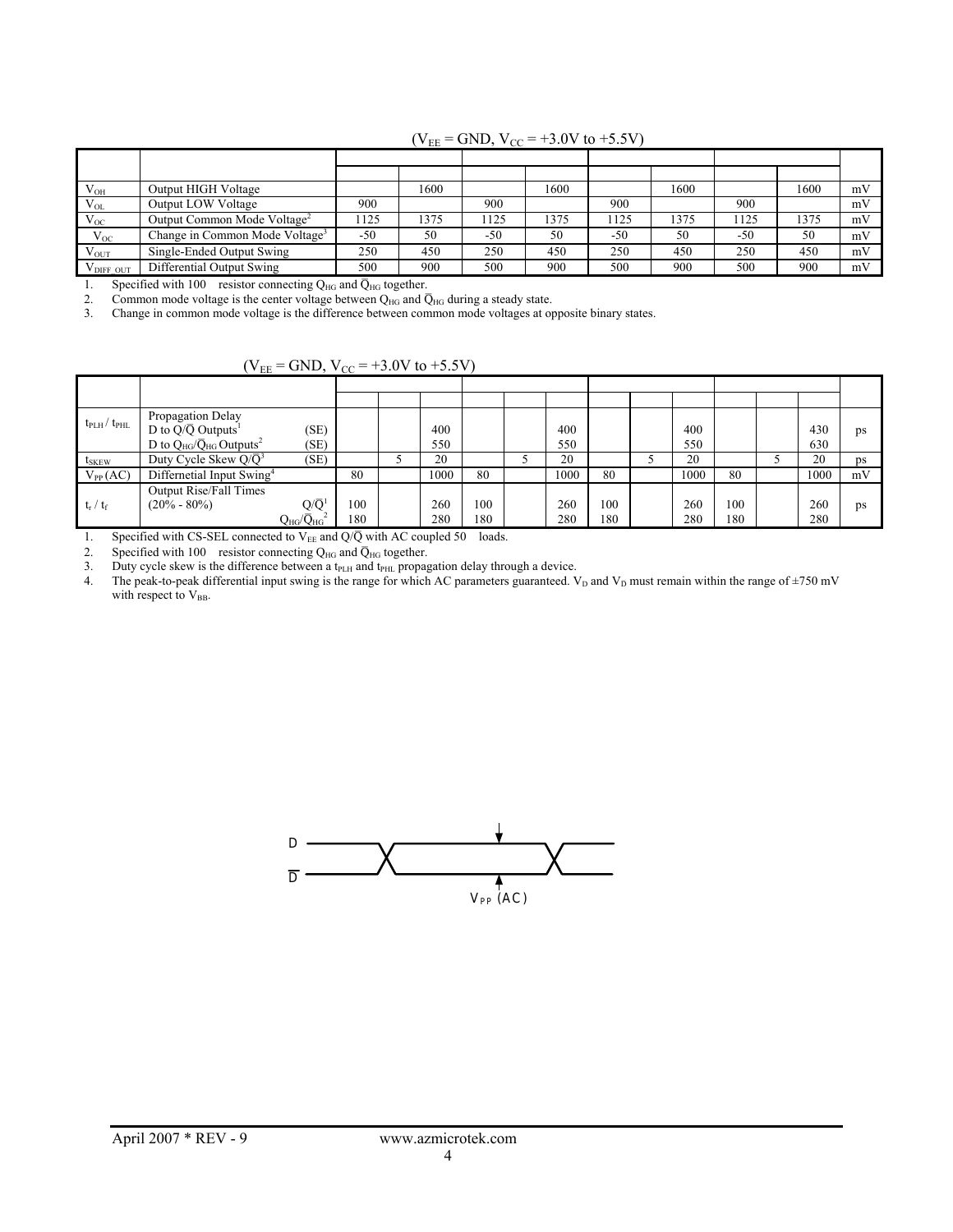| <b>Symbol</b>         | Characteristic                             |       | $-40^{\circ}$ C |       | $0^{\circ}C$ | $25^{\circ}$ C<br>$85^{\circ}$ C |            |       |      | Unit |
|-----------------------|--------------------------------------------|-------|-----------------|-------|--------------|----------------------------------|------------|-------|------|------|
|                       |                                            | Min   | Max             | Min   | Max          | Min                              | <b>Max</b> | Min   | Max  |      |
| $V_{OH}$              | Output HIGH Voltage                        |       | 1600            |       | 1600         |                                  | 1600       |       | 1600 | mV   |
| $V_{OL}$              | Output LOW Voltage                         | 900   |                 | 900   |              | 900                              |            | 900   |      | mV   |
| $V_{OC}$              | Output Common Mode Voltage <sup>2</sup>    | 1125  | 1375            | 1125  | 1375         | 1125                             | 1375       | 1125  | 1375 | mV   |
| $\Delta V_{OC}$       | Change in Common Mode Voltage <sup>3</sup> | $-50$ | 50              | $-50$ | 50           | $-50$                            | 50         | $-50$ | 50   | mV   |
| $V_{\text{OUT}}$      | Single-Ended Output Swing                  | 250   | 450             | 250   | 450          | 250                              | 450        | 250   | 450  | mV   |
| $V_{\text{DIFF~OUT}}$ | Differential Output Swing                  | 500   | 900             | 500   | 900          | 500                              | 900        | 500   | 900  | mV   |

#### **LVDS DC Characteristics for**  $Q_{HG}/Q_{HG}$  **Outputs<sup>1</sup> (V<sub>EE</sub> = GND, V<sub>CC</sub> = +3.0V to +5.5V)**

1. Specified with 100Ω resistor connecting Q<sub>HG</sub> and  $\overline{Q}_{HG}$  together.<br>2. Common mode voltage is the center voltage between Q<sub>HG</sub> and  $\overline{Q}_{H}$ 

2. Common mode voltage is the center voltage between  $Q_{HG}$  and  $\overline{Q}_{HG}$  during a steady state.<br>3. Change in common mode voltage is the difference between common mode voltages at o

Change in common mode voltage is the difference between common mode voltages at opposite binary states.

|  | AC Characteristics ( $V_{EE}$ = GND, $V_{CC}$ = +3.0V to +5.5V) |  |
|--|-----------------------------------------------------------------|--|
|--|-----------------------------------------------------------------|--|

| <b>Symbol</b>               | Characteristic                                        |                           |     | $-40^{\circ}$ C                     |      |     | $0^{\circ}C$ |      | $25^{\circ}$ C |     | $85^{\circ}$ C |     |     | Unit |    |
|-----------------------------|-------------------------------------------------------|---------------------------|-----|-------------------------------------|------|-----|--------------|------|----------------|-----|----------------|-----|-----|------|----|
|                             |                                                       |                           | Min | $\mathbf{v}_{\mathbf{v}\mathbf{p}}$ | Max  | Min | I'vp         | Max  | Min            | Tvp | Max            | Min | Tvp | Max  |    |
|                             | Propagation Delay                                     |                           |     |                                     |      |     |              |      |                |     |                |     |     |      |    |
| $t_{\rm PLH} / t_{\rm PHL}$ | D to $\overline{Q}/\overline{Q}$ Outputs <sup>1</sup> | (SE)                      |     |                                     | 400  |     |              | 400  |                |     | 400            |     |     | 430  | ps |
|                             | D to $Q_{HG}/\overline{Q}_{HG}$ Outputs <sup>2</sup>  | (SE)                      |     |                                     | 550  |     |              | 550  |                |     | 550            |     |     | 630  |    |
| $t_{SKEW}$                  | Duty Cycle Skew $Q/\overline{Q}^3$                    | (SE)                      |     |                                     | 20   |     |              | 20   |                |     | 20             |     |     | 20   | ps |
| $V_{PP}(AC)$                | Differnetial Input Swing <sup>4</sup>                 |                           | 80  |                                     | 1000 | 80  |              | 1000 | 80             |     | 1000           | 80  |     | 1000 | mV |
|                             | <b>Output Rise/Fall Times</b>                         |                           |     |                                     |      |     |              |      |                |     |                |     |     |      |    |
| $t_r / t_f$                 | $(20\% - 80\%)$                                       | 0/Ō                       | 100 |                                     | 260  | 100 |              | 260  | 100            |     | 260            | 100 |     | 260  | ps |
|                             |                                                       | $\rm Q_{HG}/\bar{Q}_{HG}$ | 180 |                                     | 280  | 180 |              | 280  | 180            |     | 280            | 180 |     | 280  |    |

1. Specified with CS-SEL connected to V<sub>EE</sub> and  $\overline{Q/Q}$  with AC coupled 50Ω loads.

2. Specified with 100Ω resistor connecting Q<sub>HG</sub> and  $\overline{Q}_{HG}$  together.<br>3. Duty cycle skew is the difference between a t<sub>PLH</sub> and t<sub>PHL</sub> propage

3. Duty cycle skew is the difference between a t<sub>PLH</sub> and t<sub>PHL</sub> propagation delay through a device.

4. The peak-to-peak differential input swing is the range for which AC parameters guaranteed.  $V_D$  and  $V_D$  must remain within the range of  $\pm 750$  mV with respect to V<sub>BB</sub>.

#### **AC PP INPUT**

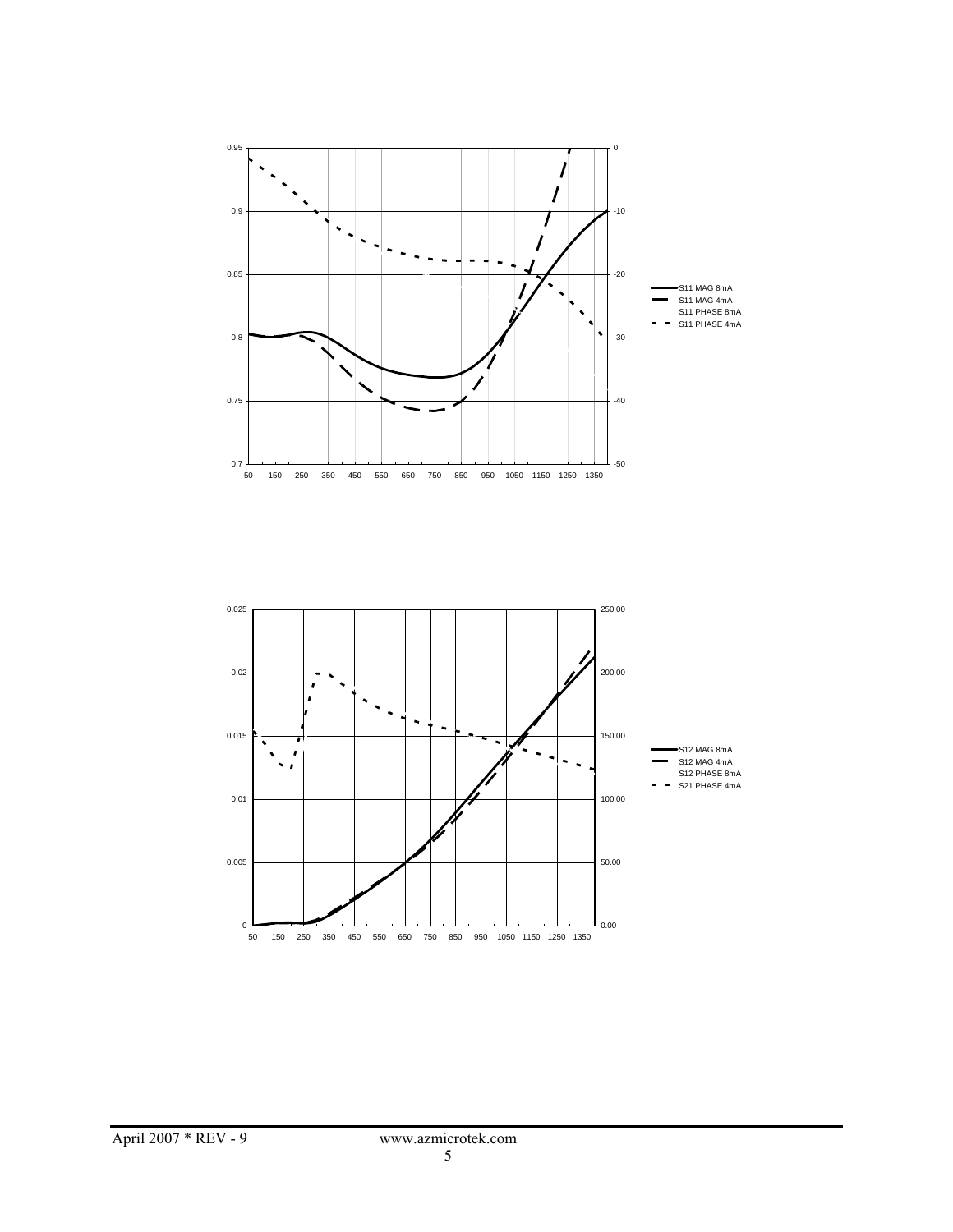

**S12, D to Q, 50 Ω AC load on Q**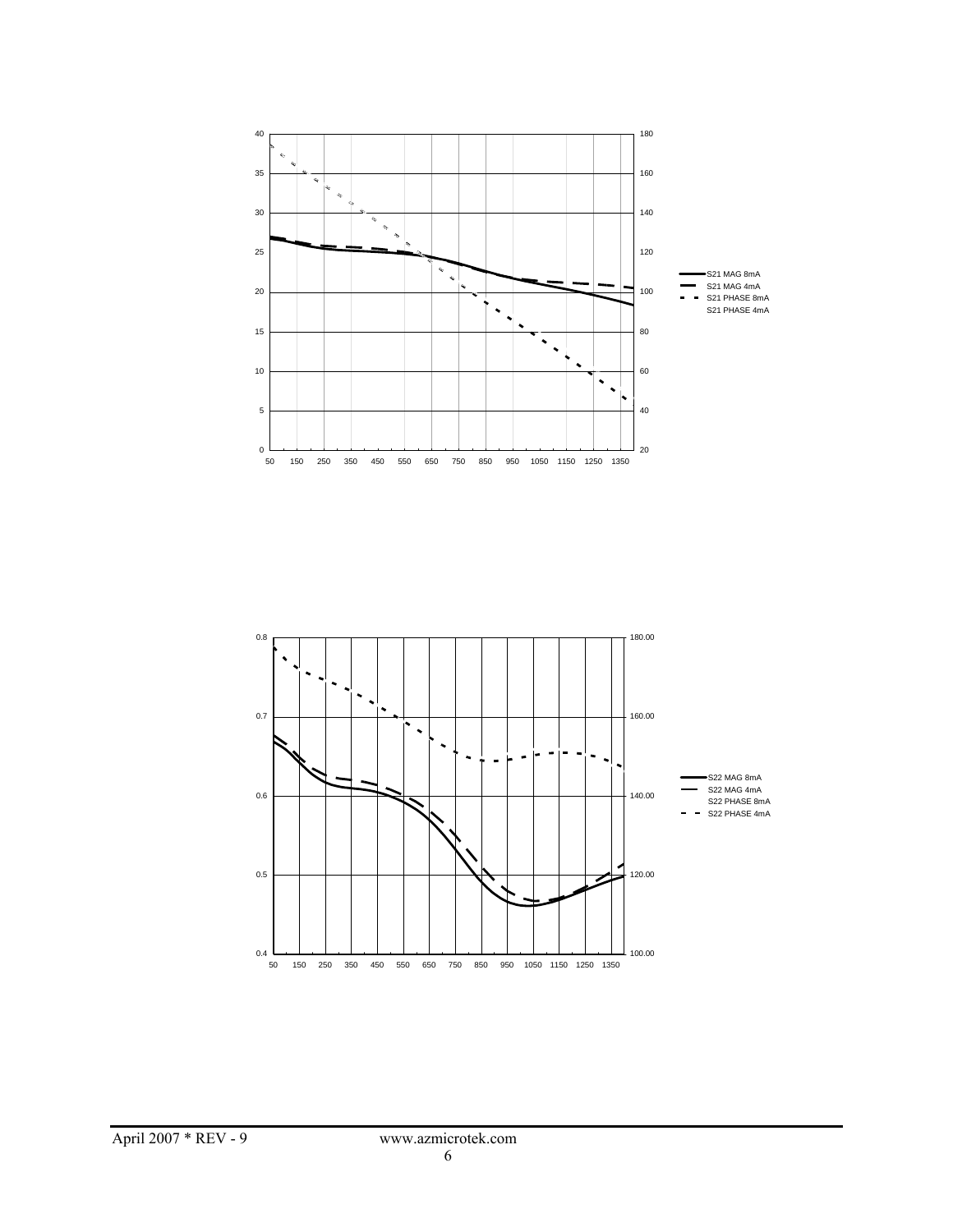





**S22, D to Q, 50 Ω AC load on Q**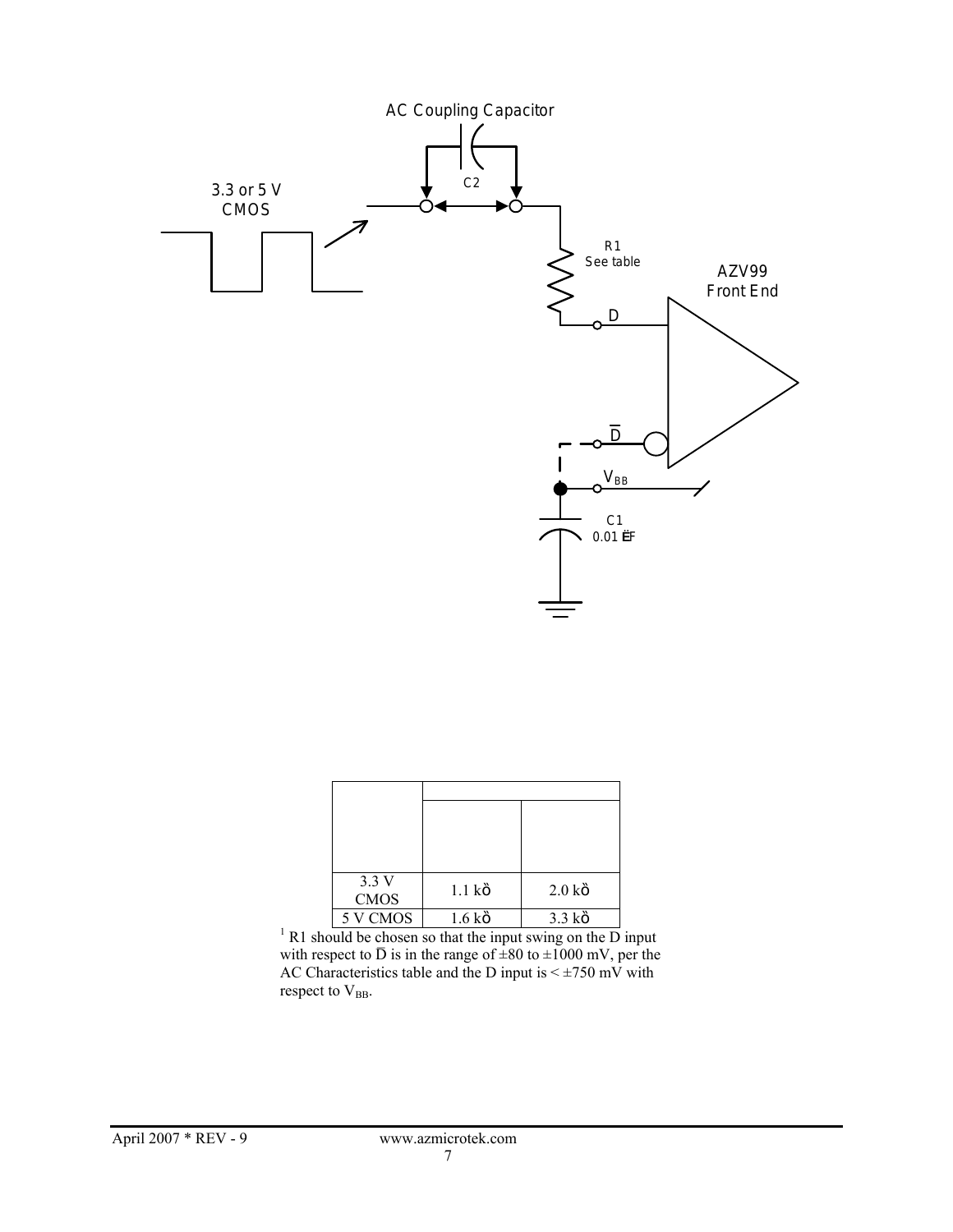

# **Application Circuit for CMOS Inputs**

| Input<br><b>Type</b> | AC<br>Coupled<br>$(C2$ in<br>circuit) | DC<br>Coupled<br>(C2)<br>shorted) |
|----------------------|---------------------------------------|-----------------------------------|
| 3.3 V<br><b>CMOS</b> | $1.1 \text{ k}\Omega$                 | $2.0 \text{ k}\Omega$             |
| 5 V CMOS             | 1.6 k $\Omega$                        | $3.3 \text{ k}\Omega$             |

 $\frac{5 \text{ V CMOS}}{1 \text{ R1} \text{ should be chosen so that the input swing on the D input}}$ with respect to  $\overline{D}$  is in the range of  $\pm 80$  to  $\pm 1000$  mV, per the AC Characteristics table and the D input is  $\leq \pm 750$  mV with respect to  $V_{BB}$ .

### **Recommended Component Values for CMOS Single Ended Inputs**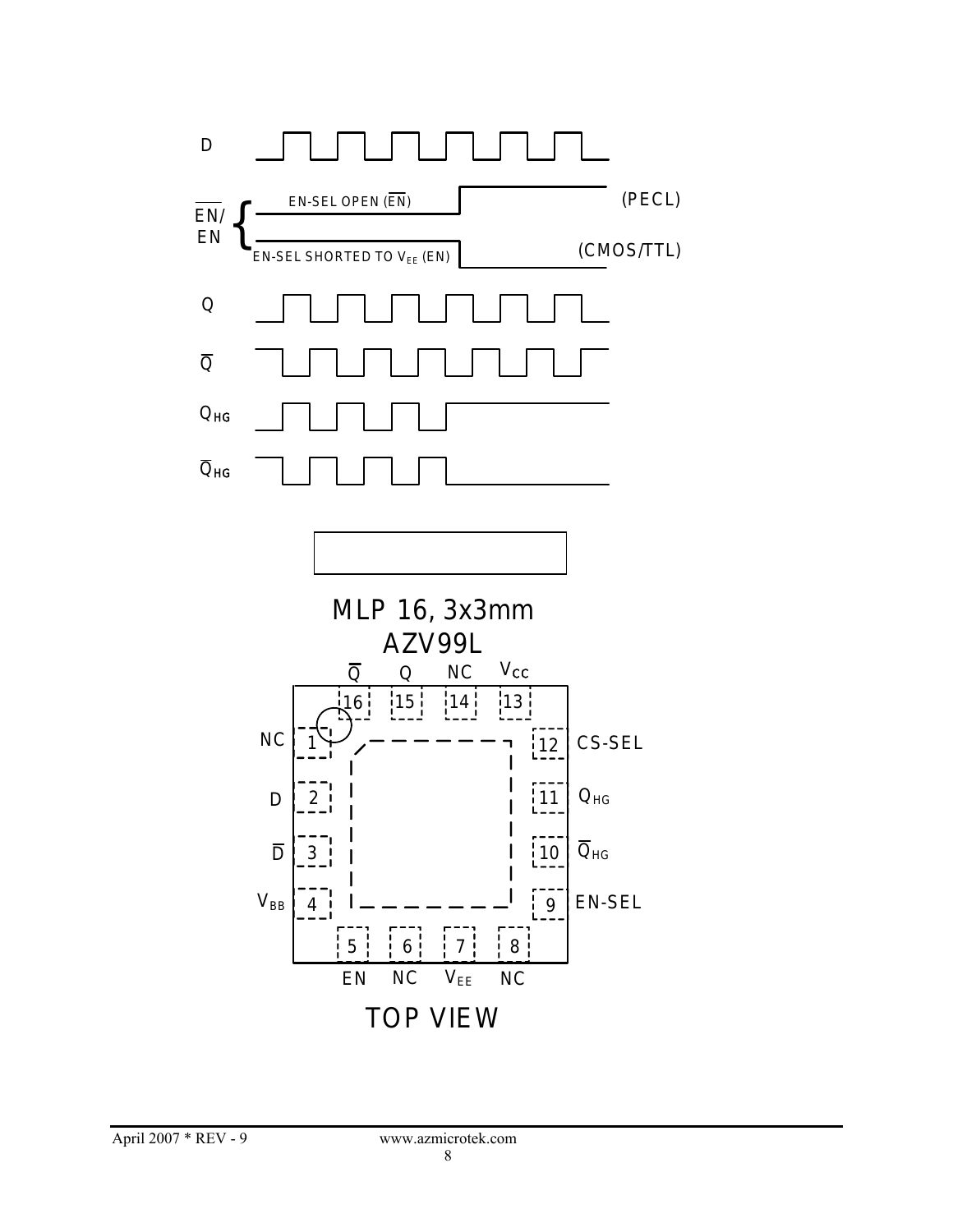

Bottom Center Pad may be left open or tied to V<sub>EE</sub>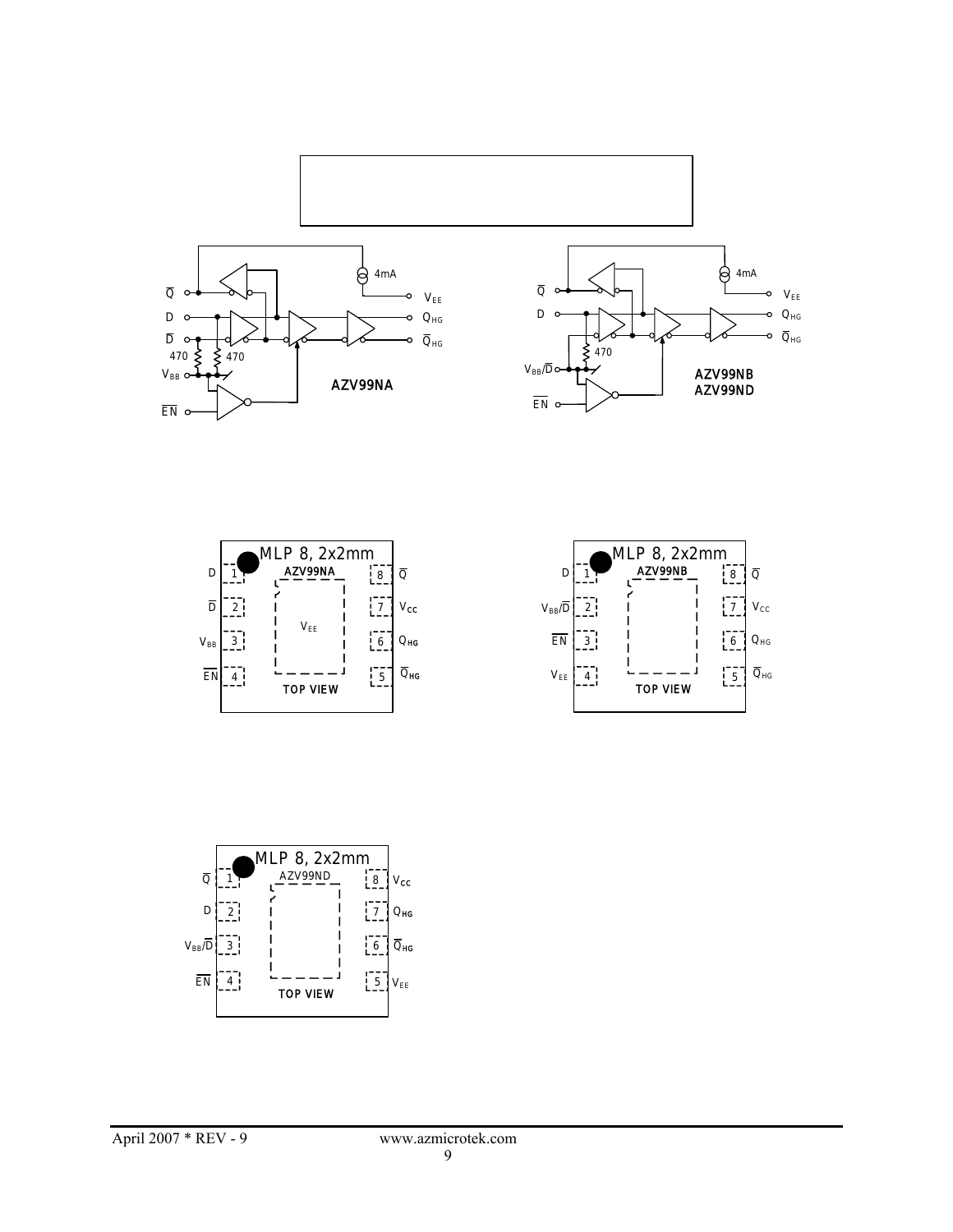

**EN operation follows PECL functionality. See the Timing Diagram.** 



**Bottom Center Pad is the VEE return.** 



**Bottom Center Pad may be left open**  or tied to V<sub>EE</sub>. Pin 5 is the V<sub>EE</sub> return.



**Bottom Center Pad may be left open**  or tied to  $V_{EE}$ . Pin 4 is the  $V_{EE}$  return.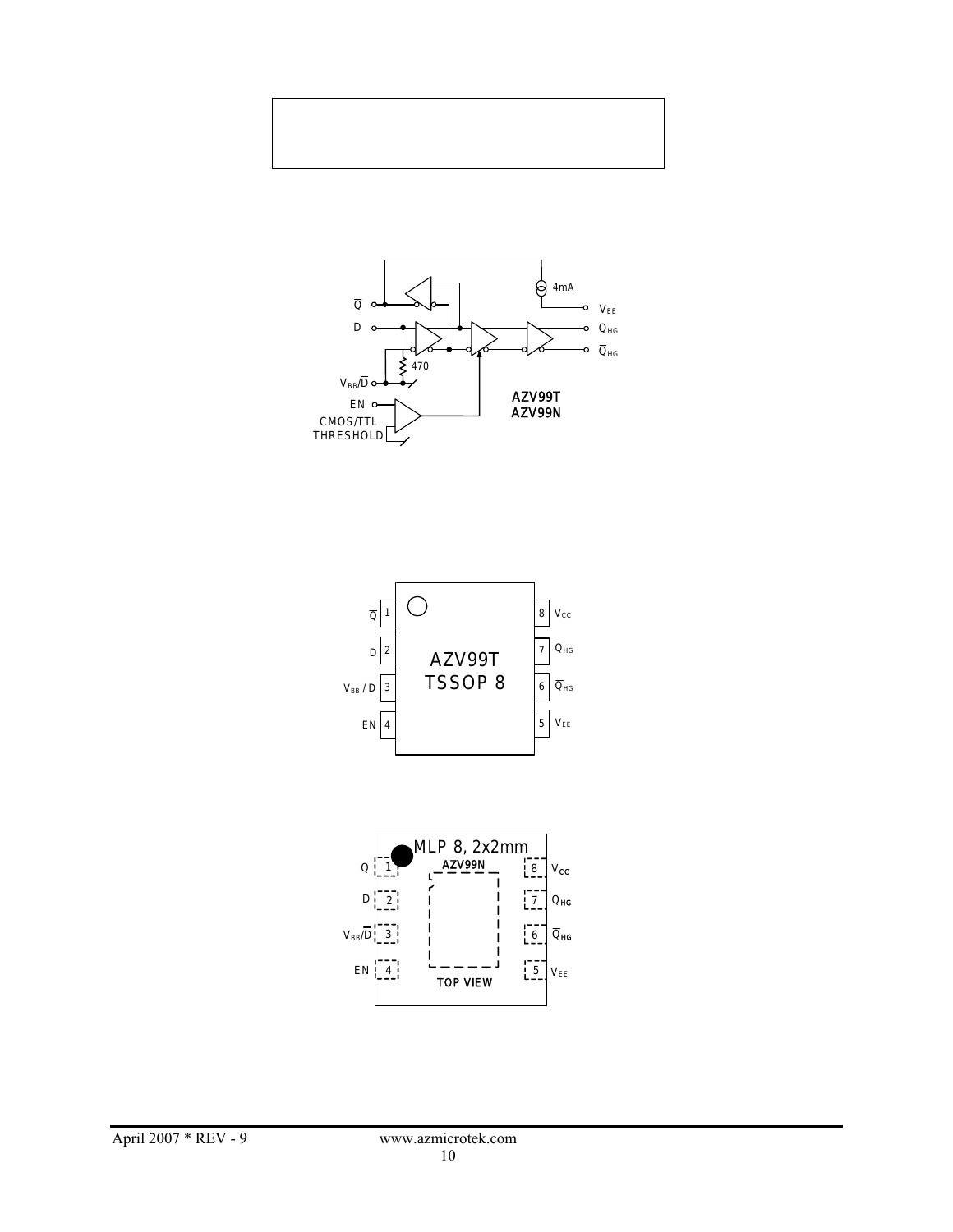### **LOGIC DIAGRAM AND PINOUTS FOR AZV99T, AZV99N**



### **EN follows CMOS/TTL functionality. See the Timing Diagram.**



**Bottom Center Pad may be left open**  or tied to V<sub>EE</sub>. Pin 5 is the V<sub>EE</sub> return.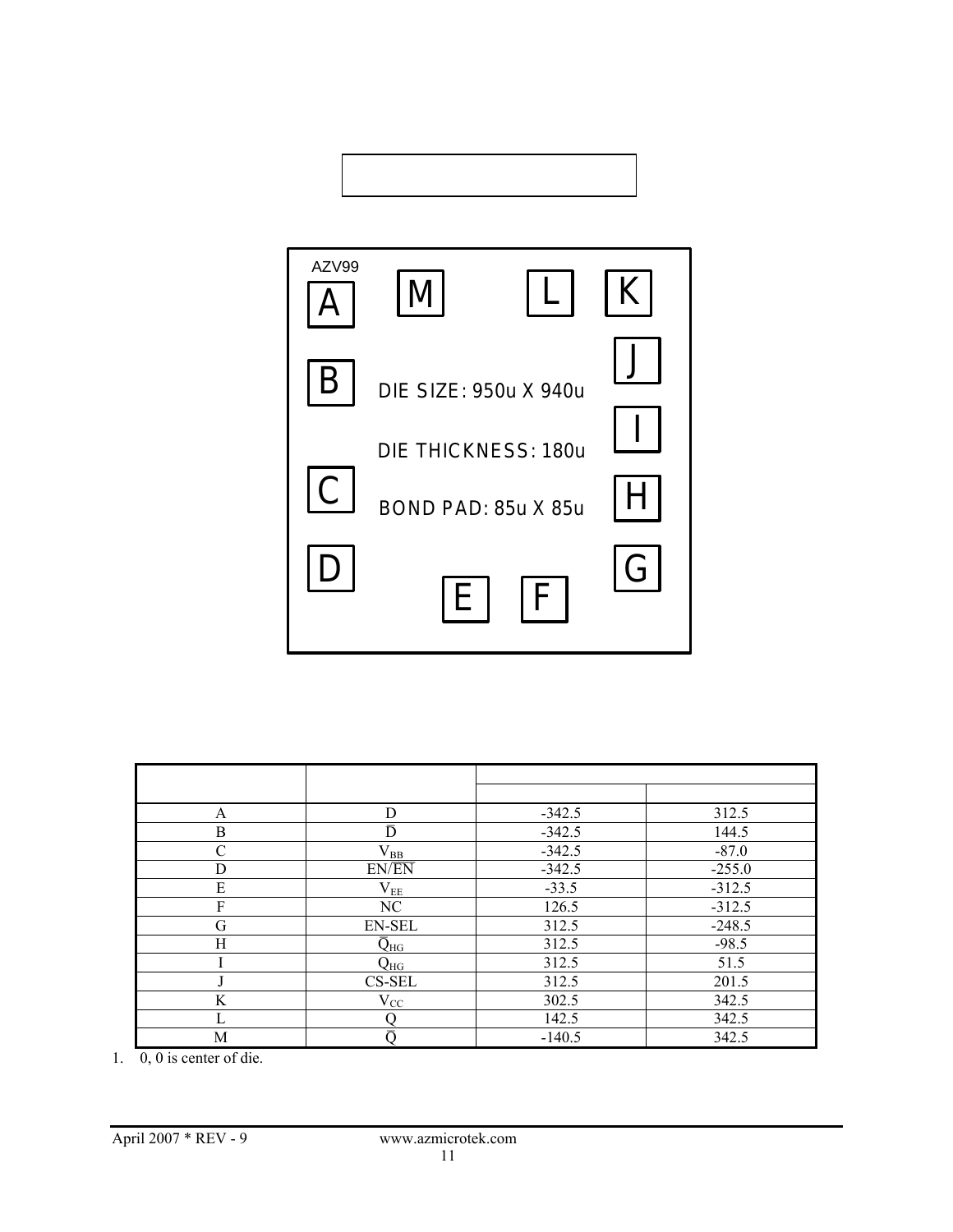### **AZV99 DIE:**

# **DIE PAD COORDINATES**



# **PAD COORDINATES<sup>1</sup>**

| <b>NAME</b> | <b>PAD DESIGNATION</b>           |            | <b>PAD CENTERS</b> |
|-------------|----------------------------------|------------|--------------------|
|             |                                  | X(Microns) | Y(Microns)         |
| A           | D                                | $-342.5$   | 312.5              |
| B           | Đ                                | $-342.5$   | 144.5              |
| $\subset$   | $\rm V_{BB}$                     | $-342.5$   | $-87.0$            |
| D           | EN/EN                            | $-342.5$   | $-255.0$           |
| E           | $\rm V_{EE}$                     | $-33.5$    | $-312.5$           |
| F           | NC                               | 126.5      | $-312.5$           |
| G           | <b>EN-SEL</b>                    | 312.5      | $-248.5$           |
| Η           | $\bar{\mathrm{Q}}_{\mathrm{HG}}$ | 312.5      | $-98.5$            |
|             | $Q_{\rm HG}$                     | 312.5      | 51.5               |
|             | <b>CS-SEL</b>                    | 312.5      | 201.5              |
| K           | $\rm V_{CC}$                     | 302.5      | 342.5              |
|             |                                  | 142.5      | 342.5              |
| M           |                                  | $-140.5$   | 342.5              |

1.  $\overline{0}$ , 0 is center of die.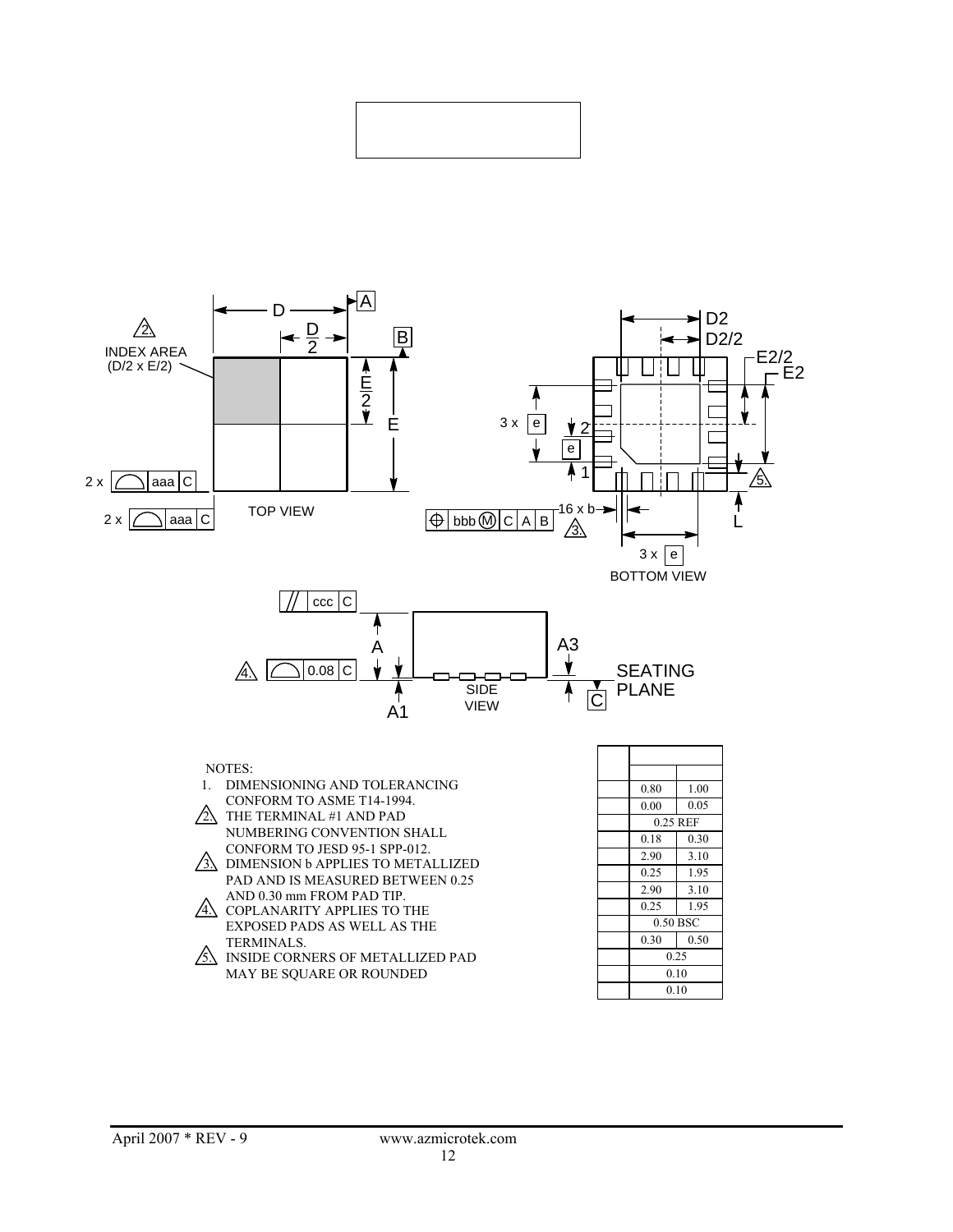# **PACKAGE DIAGRAM MLP 16**

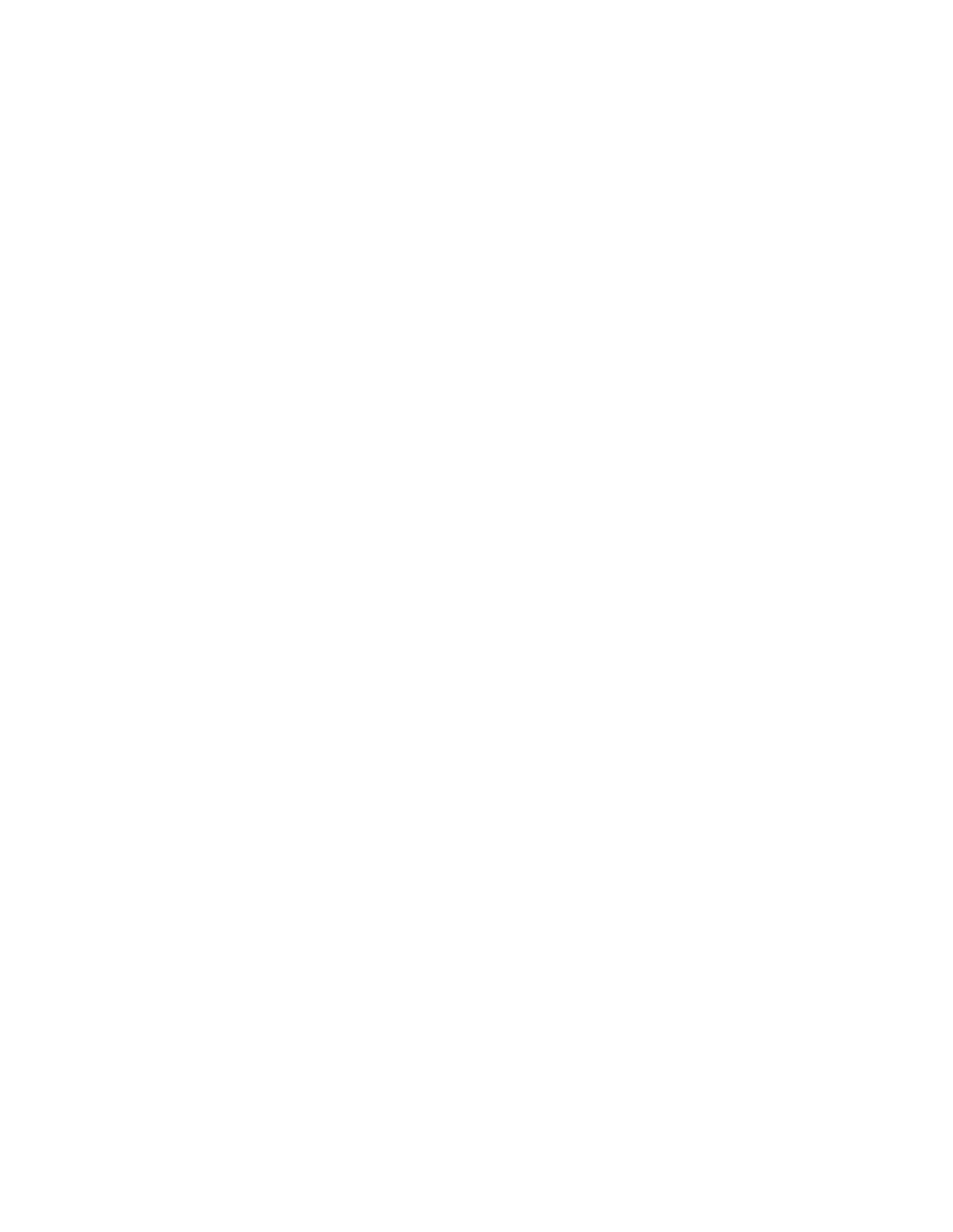





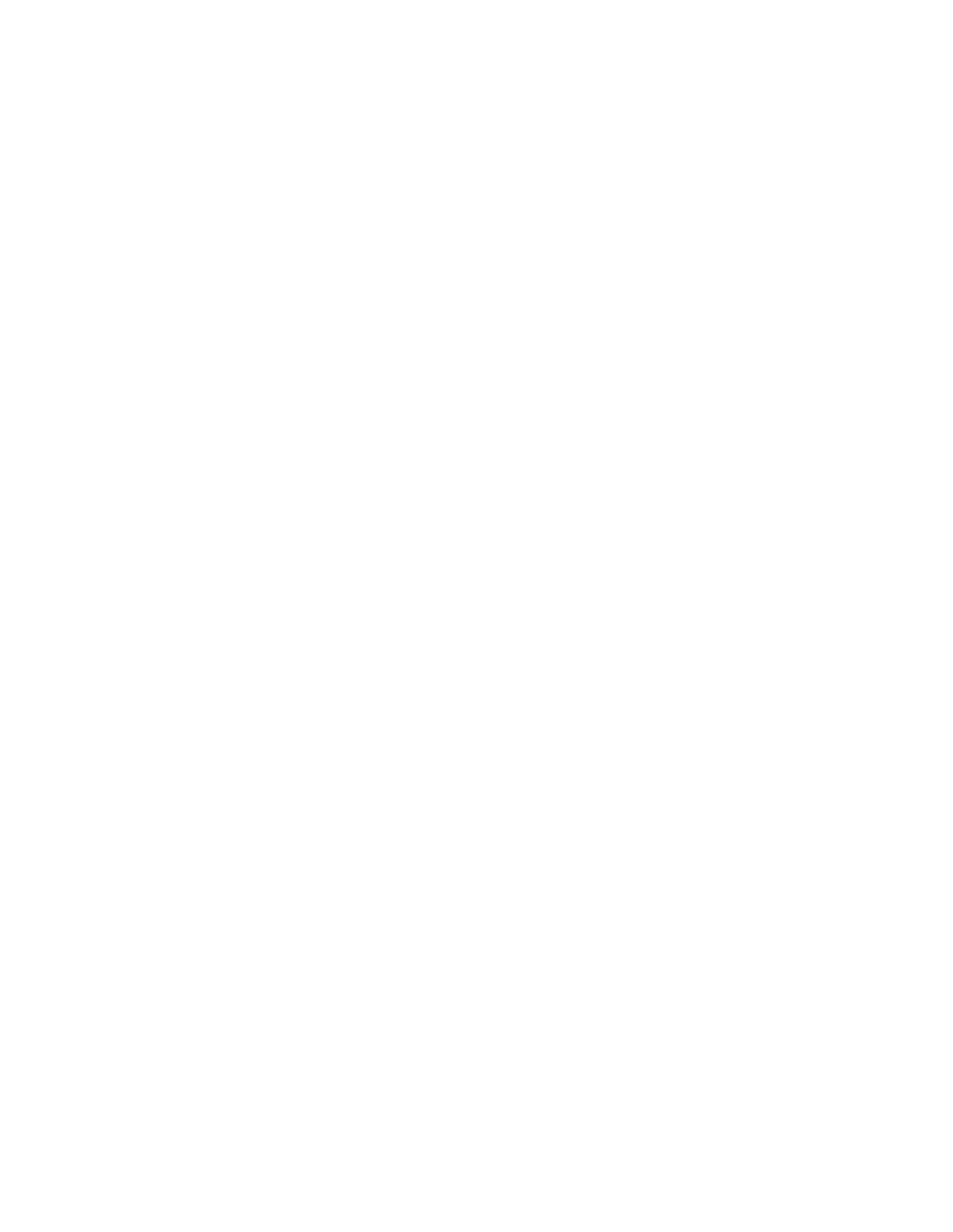### **PACKAGE DIAGRAM TSSOP 8**









NOTES:

- 1. DIMENSIONS D AND E DO NOT INCLUDE MOLD PROTRUSION.
- 2. MAXIMUM MOLD PROTRUSION FOR D IS 0.15mm.
- 3. MAXIMUM MOLD PROTRUSION FOR E IS 0.25mm.

|                                                  | <b>MILLIMETERS</b> |            |
|--------------------------------------------------|--------------------|------------|
| DIM                                              | MIN                | <b>MAX</b> |
| A                                                |                    | 1.10       |
| $A_1$                                            | 0.05               | 0.15       |
| $A_2$                                            | 0.80               | 0.95       |
| $A_3$                                            | 0.25               |            |
| $\overline{\mathbf{b}}_{\underline{\mathbf{p}}}$ | 0.25               | 0.45       |
| $\mathbf c$                                      | 0.15               | 0.28       |
| D                                                | 2.90               | 3.10       |
| E                                                | 2.90               | 3.10       |
| e                                                | 0.65               |            |
| $H_E$                                            | 4.70               | 5.10       |
| $\mathbf{L}$                                     | 0.94               |            |
| $L_{p}$                                          | 0.40               | 0.70       |
| $\overline{\mathbf{v}}$                          | 0.10               |            |
| W                                                | 0.10               |            |
| $\overline{\mathbf{y}}$                          | 0.10               |            |
| $\overline{\mathbf{z}}$                          | 0.35               | 0.70       |
| θ                                                | $0^{\rm O}$        | $6^\circ$  |